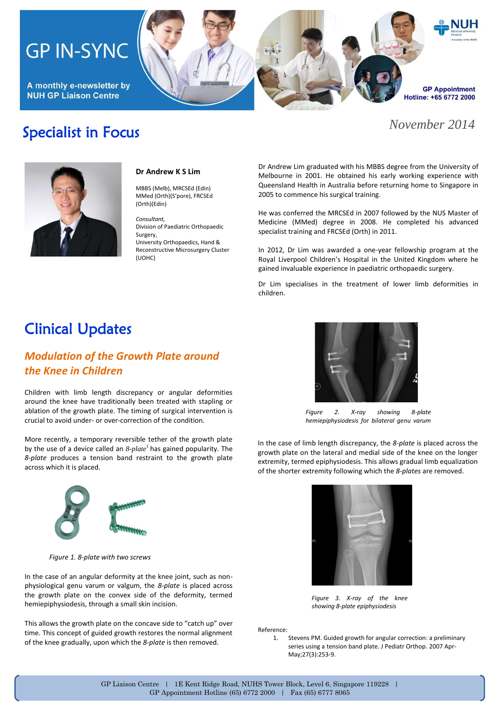# **GP IN-SYNC**

A monthly e-newsletter by **NUH GP Liaison Centre** 

Specialist in Focus



### *November 2014*



#### **Dr Andrew K S Lim**

MBBS (Melb), MRCSEd (Edin) MMed (Orth)(S'pore), FRCSEd (Orth)(Edin)

*Consultant,*  Division of Paediatric Orthopaedic Surgery,

University Orthopaedics, Hand & Reconstructive Microsurgery Cluster (UOHC)

Dr Andrew Lim graduated with his MBBS degree from the University of Melbourne in 2001. He obtained his early working experience with Queensland Health in Australia before returning home to Singapore in 2005 to commence his surgical training.

He was conferred the MRCSEd in 2007 followed by the NUS Master of Medicine (MMed) degree in 2008. He completed his advanced specialist training and FRCSEd (Orth) in 2011.

In 2012, Dr Lim was awarded a one-year fellowship program at the Royal Liverpool Children's Hospital in the United Kingdom where he gained invaluable experience in paediatric orthopaedic surgery.

Dr Lim specialises in the treatment of lower limb deformities in children.

## Clinical Updates

### *Modulation of the Growth Plate around the Knee in Children*

Children with limb length discrepancy or angular deformities around the knee have traditionally been treated with stapling or ablation of the growth plate. The timing of surgical intervention is crucial to avoid under- or over-correction of the condition.

More recently, a temporary reversible tether of the growth plate by the use of a device called an  $\delta$ -plate<sup>1</sup> has gained popularity. The *8-plate* produces a tension band restraint to the growth plate across which it is placed.



*Figure 2. X-ray showing 8-plate hemiepiphysiodesis for bilateral genu varum*

In the case of limb length discrepancy, the *8-plate* is placed across the growth plate on the lateral and medial side of the knee on the longer extremity, termed epiphysiodesis. This allows gradual limb equalization of the shorter extremity following which the *8-plates* are removed.



*Figure 1. 8-plate with two screws*

In the case of an angular deformity at the knee joint, such as nonphysiological genu varum or valgum, the *8-plate* is placed across the growth plate on the convex side of the deformity, termed hemiepiphysiodesis, through a small skin incision.

This allows the growth plate on the concave side to "catch up" over time. This concept of guided growth restores the normal alignment of the knee gradually, upon which the *8-plate* is then removed.

*Figure 3. X-ray of the knee showing 8-plate epiphysiodesis*

Reference:

1. Stevens PM. Guided growth for angular correction: a preliminary series using a tension band plate[. J Pediatr Orthop.](http://www.ncbi.nlm.nih.gov/pubmed/17414005) 2007 Apr-May;27(3):253-9.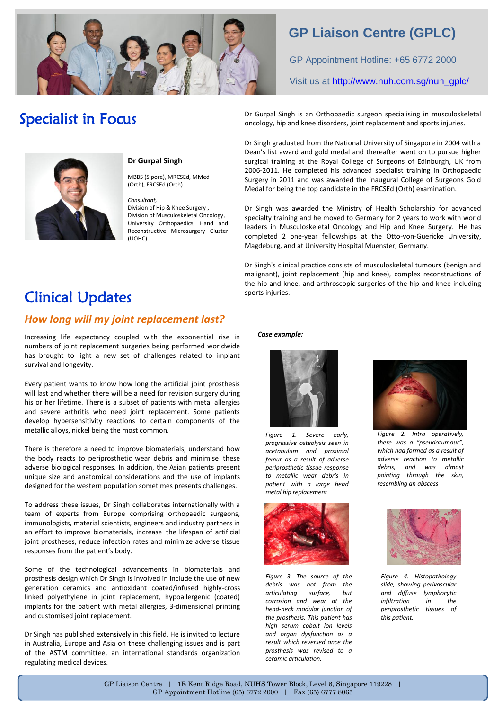

### **GP Liaison Centre (GPLC)**

GP Appointment Hotline: +65 6772 2000

Visit us at [http://www.nuh.com.sg/nuh\\_gplc/](http://www.nuh.com.sg/nuh_gplc/)

## Specialist in Focus



### **Dr Gurpal Singh**

MBBS (S'pore), MRCSEd, MMed (Orth), FRCSEd (Orth)

#### *Consultant,*

Division of Hip & Knee Surgery , Division of Musculoskeletal Oncology, University Orthopaedics, Hand and Reconstructive Microsurgery Cluster (UOHC)

Dr Gurpal Singh is an Orthopaedic surgeon specialising in musculoskeletal oncology, hip and knee disorders, joint replacement and sports injuries.

Dr Singh graduated from the National University of Singapore in 2004 with a Dean's list award and gold medal and thereafter went on to pursue higher surgical training at the Royal College of Surgeons of Edinburgh, UK from 2006-2011. He completed his advanced specialist training in Orthopaedic Surgery in 2011 and was awarded the inaugural College of Surgeons Gold Medal for being the top candidate in the FRCSEd (Orth) examination.

Dr Singh was awarded the Ministry of Health Scholarship for advanced specialty training and he moved to Germany for 2 years to work with world leaders in Musculoskeletal Oncology and Hip and Knee Surgery. He has completed 2 one-year fellowships at the Otto-von-Guericke University, Magdeburg, and at University Hospital Muenster, Germany.

Dr Singh's clinical practice consists of musculoskeletal tumours (benign and malignant), joint replacement (hip and knee), complex reconstructions of the hip and knee, and arthroscopic surgeries of the hip and knee including sports injuries.

## Clinical Updates

### *How long will my joint replacement last?*

Increasing life expectancy coupled with the exponential rise in numbers of joint replacement surgeries being performed worldwide has brought to light a new set of challenges related to implant survival and longevity.

Every patient wants to know how long the artificial joint prosthesis will last and whether there will be a need for revision surgery during his or her lifetime. There is a subset of patients with metal allergies and severe arthritis who need joint replacement. Some patients develop hypersensitivity reactions to certain components of the metallic alloys, nickel being the most common.

There is therefore a need to improve biomaterials, understand how the body reacts to periprosthetic wear debris and minimise these adverse biological responses. In addition, the Asian patients present unique size and anatomical considerations and the use of implants designed for the western population sometimes presents challenges.

To address these issues, Dr Singh collaborates internationally with a team of experts from Europe comprising orthopaedic surgeons, immunologists, material scientists, engineers and industry partners in an effort to improve biomaterials, increase the lifespan of artificial joint prostheses, reduce infection rates and minimize adverse tissue responses from the patient's body.

Some of the technological advancements in biomaterials and prosthesis design which Dr Singh is involved in include the use of new generation ceramics and antioxidant coated/infused highly-cross linked polyethylene in joint replacement, hypoallergenic (coated) implants for the patient with metal allergies, 3-dimensional printing and customised joint replacement.

Dr Singh has published extensively in this field. He is invited to lecture in Australia, Europe and Asia on these challenging issues and is part of the ASTM committee, an international standards organization regulating medical devices.

#### *Case example:*



*Figure 1. Severe early, progressive osteolysis seen in acetabulum and proximal femur as a result of adverse periprosthetic tissue response to metallic wear debris in patient with a large head metal hip replacement*



*Figure 3. The source of the debris was not from the articulating surface, but corrosion and wear at the head-neck modular junction of the prosthesis. This patient has high serum cobalt ion levels and organ dysfunction as a result which reversed once the prosthesis was revised to a ceramic articulation.* 



*Figure 2. Intra operatively, there was a "pseudotumour", which had formed as a result of adverse reaction to metallic debris, and was almost pointing through the skin, resembling an abscess*



*Figure 4. Histopathology slide, showing perivascular and diffuse lymphocytic infiltration in the periprosthetic tissues of this patient.*